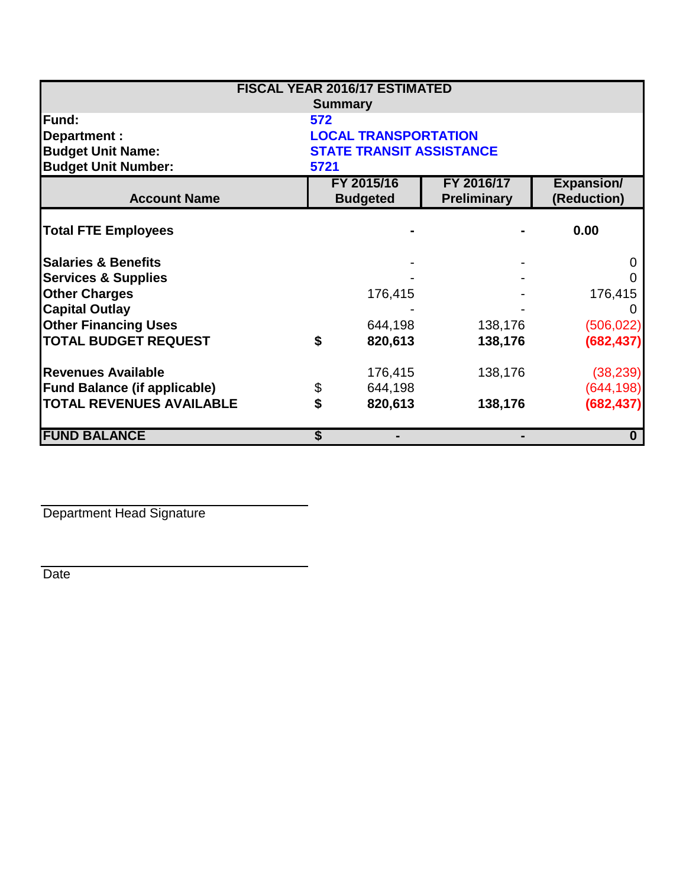|                                     |     | <b>FISCAL YEAR 2016/17 ESTIMATED</b> |                    |                   |  |  |
|-------------------------------------|-----|--------------------------------------|--------------------|-------------------|--|--|
|                                     |     | <b>Summary</b>                       |                    |                   |  |  |
| <b>Fund:</b>                        | 572 |                                      |                    |                   |  |  |
| Department :                        |     | <b>LOCAL TRANSPORTATION</b>          |                    |                   |  |  |
| <b>Budget Unit Name:</b>            |     | <b>STATE TRANSIT ASSISTANCE</b>      |                    |                   |  |  |
| <b>Budget Unit Number:</b>          |     | 5721                                 |                    |                   |  |  |
|                                     |     | FY 2016/17<br>FY 2015/16             |                    | <b>Expansion/</b> |  |  |
| <b>Account Name</b>                 |     | <b>Budgeted</b>                      | <b>Preliminary</b> | (Reduction)       |  |  |
| <b>Total FTE Employees</b>          |     |                                      |                    | 0.00              |  |  |
| <b>Salaries &amp; Benefits</b>      |     |                                      |                    | $\Omega$          |  |  |
| <b>Services &amp; Supplies</b>      |     |                                      |                    |                   |  |  |
| <b>Other Charges</b>                |     | 176,415                              |                    | 176,415           |  |  |
| <b>Capital Outlay</b>               |     |                                      |                    |                   |  |  |
| <b>Other Financing Uses</b>         |     | 644,198                              | 138,176            | (506, 022)        |  |  |
| <b>TOTAL BUDGET REQUEST</b>         | \$  | 820,613                              | 138,176            | (682, 437)        |  |  |
| <b>Revenues Available</b>           |     | 176,415                              | 138,176            | (38, 239)         |  |  |
| <b>Fund Balance (if applicable)</b> | \$  | 644,198                              |                    | (644, 198)        |  |  |
| <b>TOTAL REVENUES AVAILABLE</b>     | \$  | 820,613                              | 138,176            | (682, 437)        |  |  |
| <b>FUND BALANCE</b>                 | S   |                                      |                    | $\bf{0}$          |  |  |

Department Head Signature

Date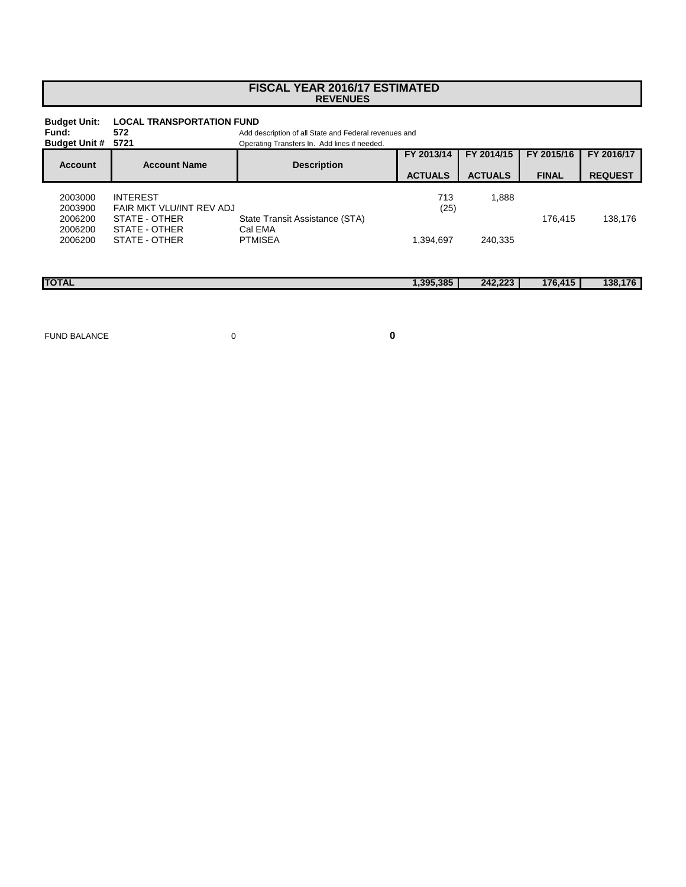## **FISCAL YEAR 2016/17 ESTIMATED REVENUES**

| <b>Budget Unit:</b><br>Fund:<br><b>Budget Unit #</b> | <b>LOCAL TRANSPORTATION FUND</b><br>572<br>5721 | Add description of all State and Federal revenues and<br>Operating Transfers In. Add lines if needed. |                |                |              |                |
|------------------------------------------------------|-------------------------------------------------|-------------------------------------------------------------------------------------------------------|----------------|----------------|--------------|----------------|
| <b>Account</b>                                       | <b>Account Name</b>                             | <b>Description</b>                                                                                    | FY 2013/14     | FY 2014/15     | FY 2015/16   | FY 2016/17     |
|                                                      |                                                 |                                                                                                       | <b>ACTUALS</b> | <b>ACTUALS</b> | <b>FINAL</b> | <b>REQUEST</b> |
| 2003000<br>2003900                                   | <b>INTEREST</b><br>FAIR MKT VLU/INT REV ADJ     |                                                                                                       | 713<br>(25)    | 1,888          |              |                |
| 2006200<br>2006200<br>2006200                        | STATE - OTHER<br>STATE - OTHER<br>STATE - OTHER | State Transit Assistance (STA)<br>Cal EMA<br><b>PTMISEA</b>                                           | 1,394,697      | 240.335        | 176.415      | 138,176        |
| <b>TOTAL</b>                                         |                                                 |                                                                                                       | 1,395,385      | 242,223        | 176,415      | 138,176        |